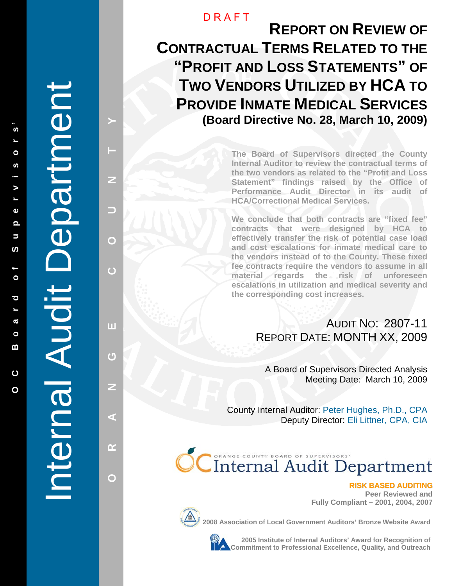**O C B o a r d o f S u p e r v i s o r s '** 

Ē

 $\bullet$ 

 $\overline{\mathbf{o}}$  $\overline{\phantom{a}}$  $\boldsymbol{\sigma}$ 

 $\bullet$ m

 $\overline{c}$ 

 $\Omega$ 

ທ

 $\Omega$  $\overline{\phantom{0}}$ 

ົທ

 $\circ$ S

 $\blacktriangleright$  $\overline{a}$  $\mathbf{\Phi}$  **PRISS A LANGE COUNTY A LANGE COUNTY A LANGE COUNTY AND A LANGE COUNTY AND A LANGE COUNTY AND A LANGE COUNTY AND** 

 $\overline{\mathbf{u}}$ 

 $\overline{C}$ 

z

ď

 $\alpha$ 

 $\bigcap$ 

 $\overline{C}$ 

Z

 $\Box$ 

 $\mathbf{\Omega}$ 

## **DRAFT**

**REPORT ON REVIEW OF CONTRACTUAL TERMS RELATED TO THE "PROFIT AND LOSS STATEMENTS " OF TWO VENDORS UTILIZED BY HCA TO PROVIDE INMATE MEDICAL SERVICES (Board Directive No. 28, March 10, 2009)** 

> **The Board of Supervisors directed the County Internal Auditor to review the contractual terms of the two vendors as related to the "Profit and Loss Statement" findings raised by the Office of Performance Audit Director in its audit of HCA/Correctional Medical Services.**

> **We conclude that both contracts are "fixed fee" contracts that were designed by HCA to effectively transfer the risk of potential case load and cost escalations for inmate medical care to the vendors instead of to the County. These fixed fee contracts require the vendors to assume in all material regards the risk of unforeseen escalations in utilization and medical severity and the corresponding cost increases.**

# AUDIT NO: 2807-11 REPORT DATE: MONTH XX, 2009

A Board of Supervisors Directed Analysis Meeting Date: March 10, 2009

County Internal Auditor: Peter Hughes, Ph.D., CPA Deputy Director: Eli Littner, CPA, CIA

# **CC**Internal Audit Department

**Peer Reviewed and Fully Compliant – 2001, 2004, 2007** 



**2008 Association of Local Government Auditors' Bronze Website Award**



**2005 Institute of Internal Auditors' Award for Recognition of Commitment SASK BASED AUDITING**<br>Fully Compliant – 2001, 2004, 2007<br>ociation of Local Government Auditors' Bronze Website Award<br>2005 Institute of Internal Auditors' Award for Recognition of<br>Commitment to Professional Excel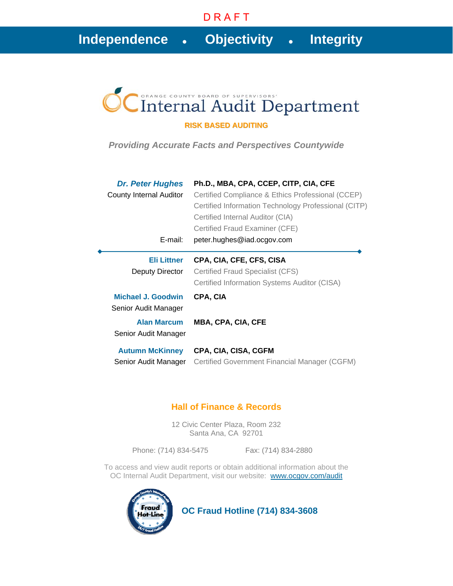# **Independence****Objectivity****Integrity**

# Internal Audit Department

#### **RISK BASED AUDITING**

*Providing Accurate Facts and Perspectives Countywide* 

| <b>Dr. Peter Hughes</b> | Ph.D., MBA, CPA, CCEP, CITP, CIA, CFE                |
|-------------------------|------------------------------------------------------|
| County Internal Auditor | Certified Compliance & Ethics Professional (CCEP)    |
|                         | Certified Information Technology Professional (CITP) |
|                         | Certified Internal Auditor (CIA)                     |
|                         | Certified Fraud Examiner (CFE)                       |
| E-mail:                 | peter.hughes@iad.ocgov.com                           |
| <b>Eli Littner</b>      | CPA, CIA, CFE, CFS, CISA                             |
| Deputy Director         | Certified Fraud Specialist (CFS)                     |
|                         | Certified Information Systems Auditor (CISA)         |
| Michael J. Goodwin      | CPA, CIA                                             |
| Senior Audit Manager    |                                                      |
| <b>Alan Marcum</b>      | <b>MBA, CPA, CIA, CFE</b>                            |
| Senior Audit Manager    |                                                      |
| <b>Autumn McKinney</b>  | CPA, CIA, CISA, CGFM                                 |
| Senior Audit Manager    | Certified Government Financial Manager (CGFM)        |

### **Hall of Finance & Records**

12 Civic Center Plaza, Room 232 Santa Ana, CA 92701

Phone: (714) 834-5475 Fax: (714) 834-2880

To access and view audit reports or obtain additional information about the OC Internal Audit Department, visit our website: www.ocgov.com/audit



 **OC Fraud Hotline (714) 834-3608**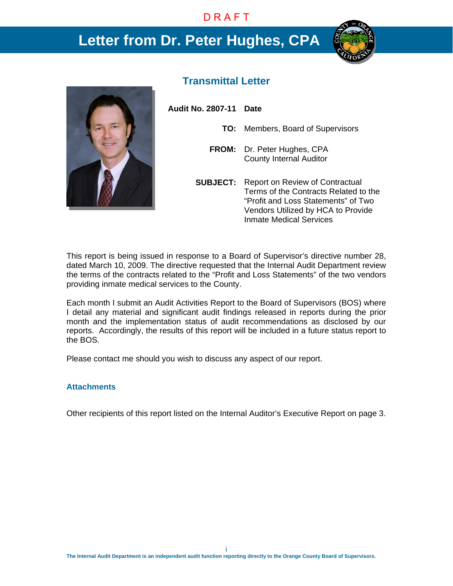# **Letter from Dr. Peter Hughes, CPA**





### **Transmittal Letter**

**Audit No. 2807-11 Date** 

- **TO:** Members, Board of Supervisors
- **FROM:** Dr. Peter Hughes, CPA County Internal Auditor
- **SUBJECT:** Report on Review of Contractual Terms of the Contracts Related to the "Profit and Loss Statements" of Two Vendors Utilized by HCA to Provide Inmate Medical Services

This report is being issued in response to a Board of Supervisor's directive number 28, dated March 10, 2009. The directive requested that the Internal Audit Department review the terms of the contracts related to the "Profit and Loss Statements" of the two vendors providing inmate medical services to the County.

Each month I submit an Audit Activities Report to the Board of Supervisors (BOS) where I detail any material and significant audit findings released in reports during the prior month and the implementation status of audit recommendations as disclosed by our reports. Accordingly, the results of this report will be included in a future status report to the BOS.

Please contact me should you wish to discuss any aspect of our report.

#### **Attachments**

Other recipients of this report listed on the Internal Auditor's Executive Report on page 3.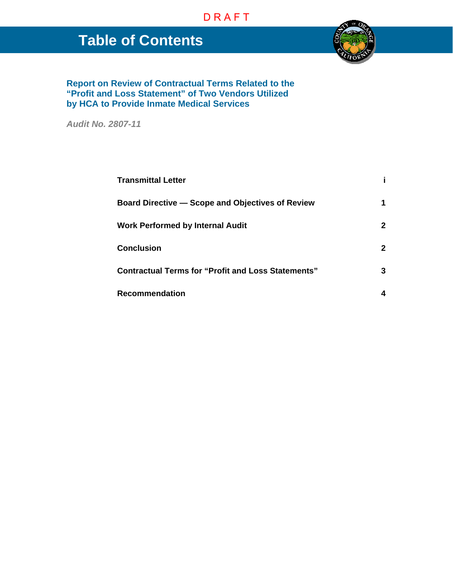# **Table of Contents**



**Report on Review of Contractual Terms Related to the "Profit and Loss Statement" of Two Vendors Utilized by HCA to Provide Inmate Medical Services** 

*Audit No. 2807-11* 

| <b>Transmittal Letter</b>                                 |              |
|-----------------------------------------------------------|--------------|
| <b>Board Directive - Scope and Objectives of Review</b>   |              |
| <b>Work Performed by Internal Audit</b>                   |              |
| <b>Conclusion</b>                                         | $\mathbf{2}$ |
| <b>Contractual Terms for "Profit and Loss Statements"</b> |              |
| <b>Recommendation</b>                                     |              |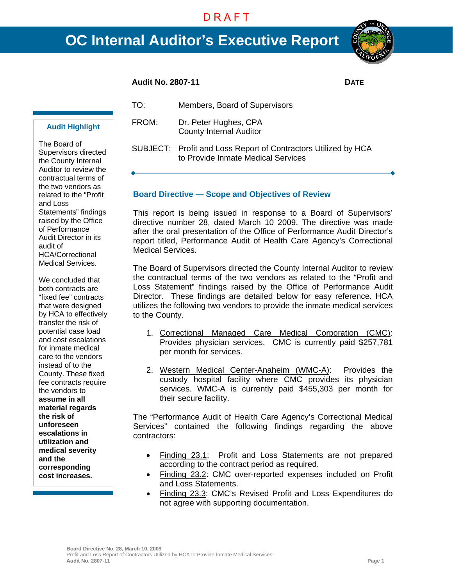# **OC Internal Auditor's Executive Report**



#### **Audit No. 2807-11 DATE**

**Audit Highlight** 

The Board of Supervisors directed the County Internal Auditor to review the contractual terms of the two vendors as related to the "Profit and Loss Statements" findings raised by the Office of Performance Audit Director in its audit of HCA/Correctional Medical Services.

We concluded that both contracts are "fixed fee" contracts that were designed by HCA to effectively transfer the risk of potential case load and cost escalations for inmate medical care to the vendors instead of to the County. These fixed fee contracts require the vendors to **assume in all material regards the risk of unforeseen escalations in utilization and medical severity and the corresponding cost increases.**

TO: Members, Board of Supervisors FROM: Dr. Peter Hughes, CPA

County Internal Auditor

SUBJECT: Profit and Loss Report of Contractors Utilized by HCA to Provide Inmate Medical Services

#### **Board Directive — Scope and Objectives of Review**

This report is being issued in response to a Board of Supervisors' directive number 28, dated March 10 2009. The directive was made after the oral presentation of the Office of Performance Audit Director's report titled, Performance Audit of Health Care Agency's Correctional Medical Services.

The Board of Supervisors directed the County Internal Auditor to review the contractual terms of the two vendors as related to the "Profit and Loss Statement" findings raised by the Office of Performance Audit Director. These findings are detailed below for easy reference. HCA utilizes the following two vendors to provide the inmate medical services to the County.

- 1. Correctional Managed Care Medical Corporation (CMC): Provides physician services. CMC is currently paid \$257,781 per month for services.
- 2. Western Medical Center-Anaheim (WMC-A): Provides the custody hospital facility where CMC provides its physician services. WMC-A is currently paid \$455,303 per month for their secure facility.

The "Performance Audit of Health Care Agency's Correctional Medical Services" contained the following findings regarding the above contractors:

- Finding 23.1: Profit and Loss Statements are not prepared according to the contract period as required.
- Finding 23.2: CMC over-reported expenses included on Profit and Loss Statements.
- Finding 23.3: CMC's Revised Profit and Loss Expenditures do not agree with supporting documentation.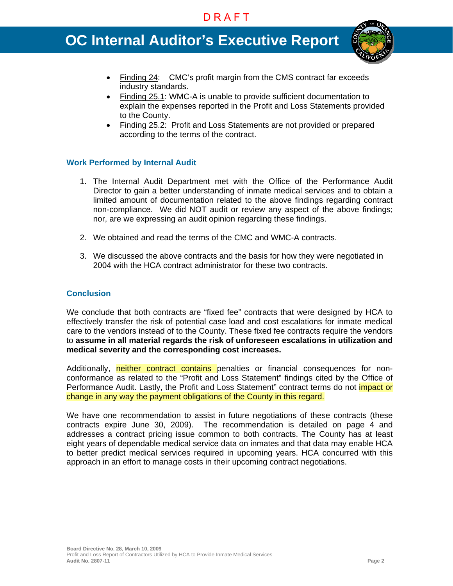# **OC Internal Auditor's Executive Report**



- Finding 24: CMC's profit margin from the CMS contract far exceeds industry standards.
- Finding 25.1: WMC-A is unable to provide sufficient documentation to explain the expenses reported in the Profit and Loss Statements provided to the County.
- Finding 25.2: Profit and Loss Statements are not provided or prepared according to the terms of the contract.

#### **Work Performed by Internal Audit**

- 1. The Internal Audit Department met with the Office of the Performance Audit Director to gain a better understanding of inmate medical services and to obtain a limited amount of documentation related to the above findings regarding contract non-compliance. We did NOT audit or review any aspect of the above findings; nor, are we expressing an audit opinion regarding these findings.
- 2. We obtained and read the terms of the CMC and WMC-A contracts.
- 3. We discussed the above contracts and the basis for how they were negotiated in 2004 with the HCA contract administrator for these two contracts.

#### **Conclusion**

We conclude that both contracts are "fixed fee" contracts that were designed by HCA to effectively transfer the risk of potential case load and cost escalations for inmate medical care to the vendors instead of to the County. These fixed fee contracts require the vendors to **assume in all material regards the risk of unforeseen escalations in utilization and medical severity and the corresponding cost increases.** 

Additionally, neither contract contains penalties or financial consequences for nonconformance as related to the "Profit and Loss Statement" findings cited by the Office of Performance Audit. Lastly, the Profit and Loss Statement" contract terms do not *impact or* change in any way the payment obligations of the County in this regard.

We have one recommendation to assist in future negotiations of these contracts (these contracts expire June 30, 2009). The recommendation is detailed on page 4 and addresses a contract pricing issue common to both contracts. The County has at least eight years of dependable medical service data on inmates and that data may enable HCA to better predict medical services required in upcoming years. HCA concurred with this approach in an effort to manage costs in their upcoming contract negotiations.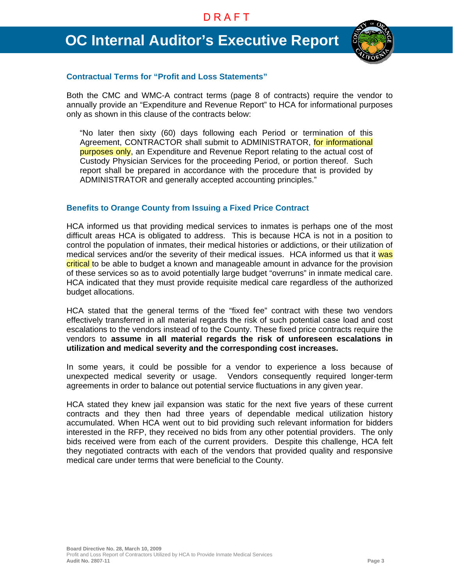# **OC Internal Auditor's Executive Report**



#### **Contractual Terms for "Profit and Loss Statements"**

Both the CMC and WMC-A contract terms (page 8 of contracts) require the vendor to annually provide an "Expenditure and Revenue Report" to HCA for informational purposes only as shown in this clause of the contracts below:

"No later then sixty (60) days following each Period or termination of this Agreement, CONTRACTOR shall submit to ADMINISTRATOR, for informational purposes only, an Expenditure and Revenue Report relating to the actual cost of Custody Physician Services for the proceeding Period, or portion thereof. Such report shall be prepared in accordance with the procedure that is provided by ADMINISTRATOR and generally accepted accounting principles."

#### **Benefits to Orange County from Issuing a Fixed Price Contract**

HCA informed us that providing medical services to inmates is perhaps one of the most difficult areas HCA is obligated to address. This is because HCA is not in a position to control the population of inmates, their medical histories or addictions, or their utilization of medical services and/or the severity of their medical issues. HCA informed us that it was critical to be able to budget a known and manageable amount in advance for the provision of these services so as to avoid potentially large budget "overruns" in inmate medical care. HCA indicated that they must provide requisite medical care regardless of the authorized budget allocations.

HCA stated that the general terms of the "fixed fee" contract with these two vendors effectively transferred in all material regards the risk of such potential case load and cost escalations to the vendors instead of to the County. These fixed price contracts require the vendors to **assume in all material regards the risk of unforeseen escalations in utilization and medical severity and the corresponding cost increases.** 

In some years, it could be possible for a vendor to experience a loss because of unexpected medical severity or usage. Vendors consequently required longer-term agreements in order to balance out potential service fluctuations in any given year.

HCA stated they knew jail expansion was static for the next five years of these current contracts and they then had three years of dependable medical utilization history accumulated. When HCA went out to bid providing such relevant information for bidders interested in the RFP, they received no bids from any other potential providers. The only bids received were from each of the current providers. Despite this challenge, HCA felt they negotiated contracts with each of the vendors that provided quality and responsive medical care under terms that were beneficial to the County.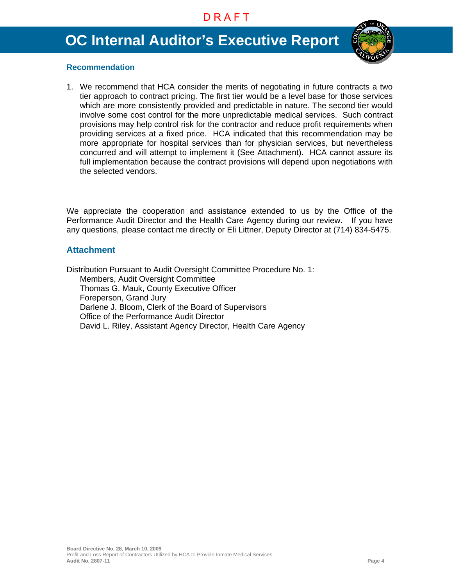# **OC Internal Auditor's Executive Report**



#### **Recommendation**

1. We recommend that HCA consider the merits of negotiating in future contracts a two tier approach to contract pricing. The first tier would be a level base for those services which are more consistently provided and predictable in nature. The second tier would involve some cost control for the more unpredictable medical services. Such contract provisions may help control risk for the contractor and reduce profit requirements when providing services at a fixed price. HCA indicated that this recommendation may be more appropriate for hospital services than for physician services, but nevertheless concurred and will attempt to implement it (See Attachment). HCA cannot assure its full implementation because the contract provisions will depend upon negotiations with the selected vendors.

We appreciate the cooperation and assistance extended to us by the Office of the Performance Audit Director and the Health Care Agency during our review. If you have any questions, please contact me directly or Eli Littner, Deputy Director at (714) 834-5475.

#### **Attachment**

Distribution Pursuant to Audit Oversight Committee Procedure No. 1: Members, Audit Oversight Committee Thomas G. Mauk, County Executive Officer Foreperson, Grand Jury Darlene J. Bloom, Clerk of the Board of Supervisors Office of the Performance Audit Director David L. Riley, Assistant Agency Director, Health Care Agency